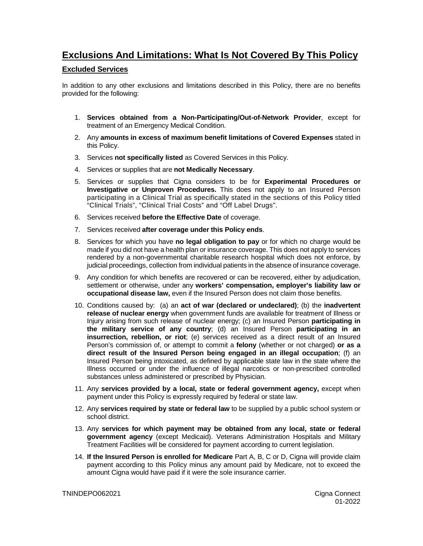## **Exclusions And Limitations: What Is Not Covered By This Policy**

## **Excluded Services**

In addition to any other exclusions and limitations described in this Policy, there are no benefits provided for the following:

- 1. **Services obtained from a Non-Participating/Out-of-Network Provider**, except for treatment of an Emergency Medical Condition.
- 2. Any **amounts in excess of maximum benefit limitations of Covered Expenses** stated in this Policy.
- 3. Services **not specifically listed** as Covered Services in this Policy.
- 4. Services or supplies that are **not Medically Necessary**.
- 5. Services or supplies that Cigna considers to be for **Experimental Procedures or Investigative or Unproven Procedures.** This does not apply to an Insured Person participating in a Clinical Trial as specifically stated in the sections of this Policy titled "Clinical Trials", "Clinical Trial Costs" and "Off Label Drugs".
- 6. Services received **before the Effective Date** of coverage.
- 7. Services received **after coverage under this Policy ends**.
- 8. Services for which you have **no legal obligation to pay** or for which no charge would be made if you did not have a health plan or insurance coverage. This does not apply to services rendered by a non-governmental charitable research hospital which does not enforce, by judicial proceedings, collection from individual patients in the absence of insurance coverage.
- 9. Any condition for which benefits are recovered or can be recovered, either by adjudication, settlement or otherwise, under any **workers' compensation, employer's liability law or occupational disease law,** even if the Insured Person does not claim those benefits.
- 10. Conditions caused by: (a) an **act of war (declared or undeclared)**; (b) the **inadvertent release of nuclear energy** when government funds are available for treatment of Illness or Injury arising from such release of nuclear energy; (c) an Insured Person **participating in the military service of any country**; (d) an Insured Person **participating in an insurrection, rebellion, or riot**; (e) services received as a direct result of an Insured Person's commission of, or attempt to commit a **felony** (whether or not charged) **or as a direct result of the Insured Person being engaged in an illegal occupation**; (f) an Insured Person being intoxicated, as defined by applicable state law in the state where the Illness occurred or under the influence of illegal narcotics or non-prescribed controlled substances unless administered or prescribed by Physician.
- 11. Any **services provided by a local, state or federal government agency,** except when payment under this Policy is expressly required by federal or state law.
- 12. Any **services required by state or federal law** to be supplied by a public school system or school district.
- 13. Any **services for which payment may be obtained from any local, state or federal government agency** (except Medicaid). Veterans Administration Hospitals and Military Treatment Facilities will be considered for payment according to current legislation.
- 14. **If the Insured Person is enrolled for Medicare** Part A, B, C or D, Cigna will provide claim payment according to this Policy minus any amount paid by Medicare, not to exceed the amount Cigna would have paid if it were the sole insurance carrier.

TNINDEPO062021 Cigna Connect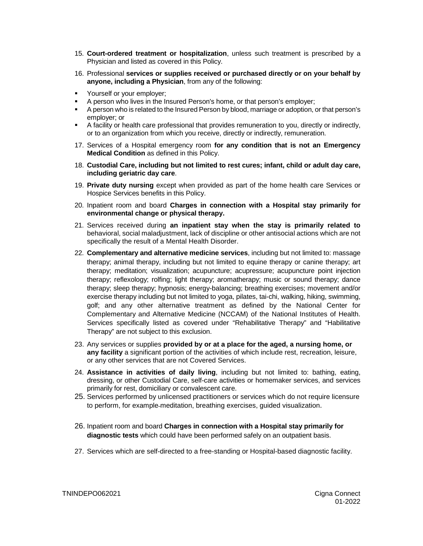- 15. **Court-ordered treatment or hospitalization**, unless such treatment is prescribed by a Physician and listed as covered in this Policy.
- 16. Professional **services or supplies received or purchased directly or on your behalf by anyone, including a Physician**, from any of the following:
- Yourself or your employer;
- A person who lives in the Insured Person's home, or that person's employer;
- A person who is related to the Insured Person by blood, marriage or adoption, or that person's employer; or
- **A** facility or health care professional that provides remuneration to you, directly or indirectly, or to an organization from which you receive, directly or indirectly, remuneration.
- 17. Services of a Hospital emergency room **for any condition that is not an Emergency Medical Condition** as defined in this Policy.
- 18. **Custodial Care, including but not limited to rest cures; infant, child or adult day care, including geriatric day care**.
- 19. **Private duty nursing** except when provided as part of the home health care Services or Hospice Services benefits in this Policy.
- 20. Inpatient room and board **Charges in connection with a Hospital stay primarily for environmental change or physical therapy.**
- 21. Services received during **an inpatient stay when the stay is primarily related to**  behavioral, social maladjustment, lack of discipline or other antisocial actions which are not specifically the result of a Mental Health Disorder.
- 22. **Complementary and alternative medicine services**, including but not limited to: massage therapy; animal therapy, including but not limited to equine therapy or canine therapy; art therapy; meditation; visualization; acupuncture; acupressure; acupuncture point injection therapy; reflexology; rolfing; light therapy; aromatherapy; music or sound therapy; dance therapy; sleep therapy; hypnosis; energy-balancing; breathing exercises; movement and/or exercise therapy including but not limited to yoga, pilates, tai-chi, walking, hiking, swimming, golf; and any other alternative treatment as defined by the National Center for Complementary and Alternative Medicine (NCCAM) of the National Institutes of Health. Services specifically listed as covered under "Rehabilitative Therapy" and "Habilitative Therapy" are not subject to this exclusion.
- 23. Any services or supplies **provided by or at a place for the aged, a nursing home, or any facility** a significant portion of the activities of which include rest, recreation, leisure, or any other services that are not Covered Services.
- 24. **Assistance in activities of daily living**, including but not limited to: bathing, eating, dressing, or other Custodial Care, self-care activities or homemaker services, and services primarily for rest, domiciliary or convalescent care.
- 25. Services performed by unlicensed practitioners or services which do not require licensure to perform, for example-meditation, breathing exercises, guided visualization.
- 26. Inpatient room and board **Charges in connection with a Hospital stay primarily for diagnostic tests** which could have been performed safely on an outpatient basis.
- 27. Services which are self-directed to a free-standing or Hospital-based diagnostic facility.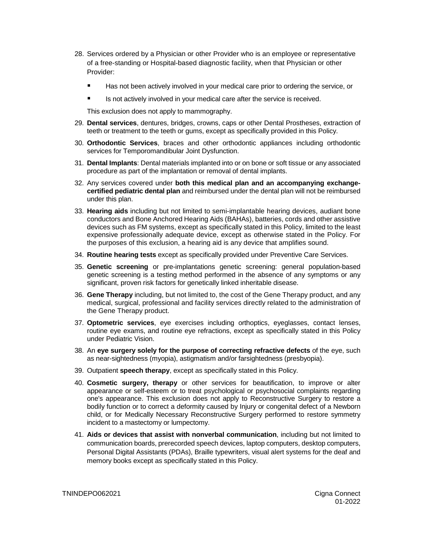- 28. Services ordered by a Physician or other Provider who is an employee or representative of a free-standing or Hospital-based diagnostic facility, when that Physician or other Provider:
	- Has not been actively involved in your medical care prior to ordering the service, or
	- Is not actively involved in your medical care after the service is received.

This exclusion does not apply to mammography.

- 29. **Dental services**, dentures, bridges, crowns, caps or other Dental Prostheses, extraction of teeth or treatment to the teeth or gums, except as specifically provided in this Policy.
- 30. **Orthodontic Services**, braces and other orthodontic appliances including orthodontic services for Temporomandibular Joint Dysfunction.
- 31. **Dental Implants**: Dental materials implanted into or on bone or soft tissue or any associated procedure as part of the implantation or removal of dental implants.
- 32. Any services covered under **both this medical plan and an accompanying exchangecertified pediatric dental plan** and reimbursed under the dental plan will not be reimbursed under this plan.
- 33. **Hearing aids** including but not limited to semi-implantable hearing devices, audiant bone conductors and Bone Anchored Hearing Aids (BAHAs), batteries, cords and other assistive devices such as FM systems, except as specifically stated in this Policy, limited to the least expensive professionally adequate device, except as otherwise stated in the Policy. For the purposes of this exclusion, a hearing aid is any device that amplifies sound.
- 34. **Routine hearing tests** except as specifically provided under Preventive Care Services.
- 35. **Genetic screening** or pre-implantations genetic screening: general population-based genetic screening is a testing method performed in the absence of any symptoms or any significant, proven risk factors for genetically linked inheritable disease.
- 36. **Gene Therapy** including, but not limited to, the cost of the Gene Therapy product, and any medical, surgical, professional and facility services directly related to the administration of the Gene Therapy product.
- 37. **Optometric services**, eye exercises including orthoptics, eyeglasses, contact lenses, routine eye exams, and routine eye refractions, except as specifically stated in this Policy under Pediatric Vision.
- 38. An **eye surgery solely for the purpose of correcting refractive defects** of the eye, such as near-sightedness (myopia), astigmatism and/or farsightedness (presbyopia).
- 39. Outpatient **speech therapy**, except as specifically stated in this Policy.
- 40. **Cosmetic surgery, therapy** or other services for beautification, to improve or alter appearance or self-esteem or to treat psychological or psychosocial complaints regarding one's appearance. This exclusion does not apply to Reconstructive Surgery to restore a bodily function or to correct a deformity caused by Injury or congenital defect of a Newborn child, or for Medically Necessary Reconstructive Surgery performed to restore symmetry incident to a mastectomy or lumpectomy.
- 41. **Aids or devices that assist with nonverbal communication**, including but not limited to communication boards, prerecorded speech devices, laptop computers, desktop computers, Personal Digital Assistants (PDAs), Braille typewriters, visual alert systems for the deaf and memory books except as specifically stated in this Policy.

TNINDEPO062021 Cigna Connect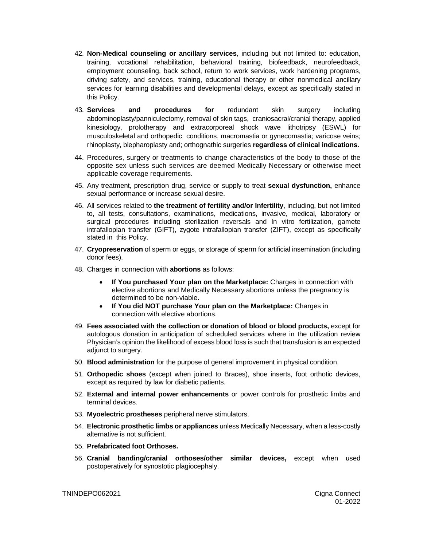- 42. **Non-Medical counseling or ancillary services**, including but not limited to: education, training, vocational rehabilitation, behavioral training, biofeedback, neurofeedback, employment counseling, back school, return to work services, work hardening programs, driving safety, and services, training, educational therapy or other nonmedical ancillary services for learning disabilities and developmental delays, except as specifically stated in this Policy.
- 43. **Services and procedures for** redundant skin surgery including abdominoplasty/panniculectomy, removal of skin tags, craniosacral/cranial therapy, applied kinesiology, prolotherapy and extracorporeal shock wave lithotripsy (ESWL) for musculoskeletal and orthopedic conditions, macromastia or gynecomastia; varicose veins; rhinoplasty, blepharoplasty and; orthognathic surgeries **regardless of clinical indications**.
- 44. Procedures, surgery or treatments to change characteristics of the body to those of the opposite sex unless such services are deemed Medically Necessary or otherwise meet applicable coverage requirements.
- 45. Any treatment, prescription drug, service or supply to treat **sexual dysfunction,** enhance sexual performance or increase sexual desire.
- 46. All services related to **the treatment of fertility and/or Infertility**, including, but not limited to, all tests, consultations, examinations, medications, invasive, medical, laboratory or surgical procedures including sterilization reversals and In vitro fertilization, gamete intrafallopian transfer (GIFT), zygote intrafallopian transfer (ZIFT), except as specifically stated in this Policy.
- 47. **Cryopreservation** of sperm or eggs, or storage of sperm for artificial insemination (including donor fees).
- 48. Charges in connection with **abortions** as follows:
	- **If You purchased Your plan on the Marketplace:** Charges in connection with elective abortions and Medically Necessary abortions unless the pregnancy is determined to be non-viable.
	- **If You did NOT purchase Your plan on the Marketplace:** Charges in connection with elective abortions.
- 49. **Fees associated with the collection or donation of blood or blood products,** except for autologous donation in anticipation of scheduled services where in the utilization review Physician's opinion the likelihood of excess blood loss is such that transfusion is an expected adjunct to surgery.
- 50. **Blood administration** for the purpose of general improvement in physical condition.
- 51. **Orthopedic shoes** (except when joined to Braces), shoe inserts, foot orthotic devices, except as required by law for diabetic patients.
- 52. **External and internal power enhancements** or power controls for prosthetic limbs and terminal devices.
- 53. **Myoelectric prostheses** peripheral nerve stimulators.
- 54. **Electronic prosthetic limbs or appliances** unless Medically Necessary, when a less-costly alternative is not sufficient.
- 55. **Prefabricated foot Orthoses.**
- 56. **Cranial banding/cranial orthoses/other similar devices,** except when used postoperatively for synostotic plagiocephaly.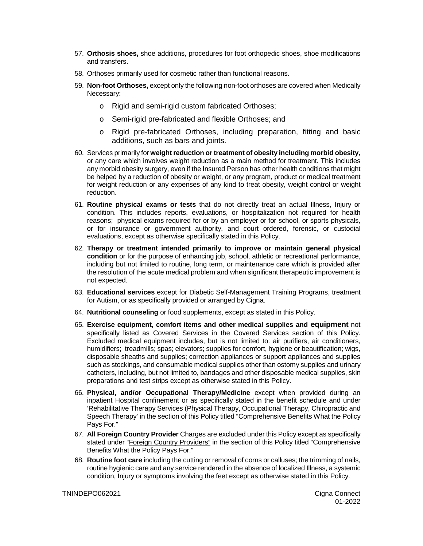- 57. **Orthosis shoes,** shoe additions, procedures for foot orthopedic shoes, shoe modifications and transfers.
- 58. Orthoses primarily used for cosmetic rather than functional reasons.
- 59. **Non-foot Orthoses,** except only the following non-foot orthoses are covered when Medically Necessary:
	- o Rigid and semi-rigid custom fabricated Orthoses;
	- o Semi-rigid pre-fabricated and flexible Orthoses; and
	- o Rigid pre-fabricated Orthoses, including preparation, fitting and basic additions, such as bars and joints.
- 60. Services primarily for **weight reduction or treatment of obesity including morbid obesity**, or any care which involves weight reduction as a main method for treatment. This includes any morbid obesity surgery, even if the Insured Person has other health conditions that might be helped by a reduction of obesity or weight, or any program, product or medical treatment for weight reduction or any expenses of any kind to treat obesity, weight control or weight reduction.
- 61. **Routine physical exams or tests** that do not directly treat an actual Illness, Injury or condition. This includes reports, evaluations, or hospitalization not required for health reasons; physical exams required for or by an employer or for school, or sports physicals, or for insurance or government authority, and court ordered, forensic, or custodial evaluations, except as otherwise specifically stated in this Policy.
- 62. **Therapy or treatment intended primarily to improve or maintain general physical condition** or for the purpose of enhancing job, school, athletic or recreational performance, including but not limited to routine, long term, or maintenance care which is provided after the resolution of the acute medical problem and when significant therapeutic improvement is not expected.
- 63. **Educational services** except for Diabetic Self-Management Training Programs, treatment for Autism, or as specifically provided or arranged by Cigna.
- 64. **Nutritional counseling** or food supplements, except as stated in this Policy.
- 65. **Exercise equipment, comfort items and other medical supplies and equipment** not specifically listed as Covered Services in the Covered Services section of this Policy. Excluded medical equipment includes, but is not limited to: air purifiers, air conditioners, humidifiers; treadmills; spas; elevators; supplies for comfort, hygiene or beautification; wigs, disposable sheaths and supplies; correction appliances or support appliances and supplies such as stockings, and consumable medical supplies other than ostomy supplies and urinary catheters, including, but not limited to, bandages and other disposable medical supplies, skin preparations and test strips except as otherwise stated in this Policy.
- 66. **Physical, and/or Occupational Therapy/Medicine** except when provided during an inpatient Hospital confinement or as specifically stated in the benefit schedule and under 'Rehabilitative Therapy Services (Physical Therapy, Occupational Therapy, Chiropractic and Speech Therapy' in the section of this Policy titled "Comprehensive Benefits What the Policy Pays For."
- 67. **All Foreign Country Provider** Charges are excluded under this Policy except as specifically stated under "Foreign Country Providers" in the section of this Policy titled "Comprehensive Benefits What the Policy Pays For."
- 68. **Routine foot care** including the cutting or removal of corns or calluses; the trimming of nails, routine hygienic care and any service rendered in the absence of localized Illness, a systemic condition, Injury or symptoms involving the feet except as otherwise stated in this Policy.

TNINDEPO062021 Cigna Connect